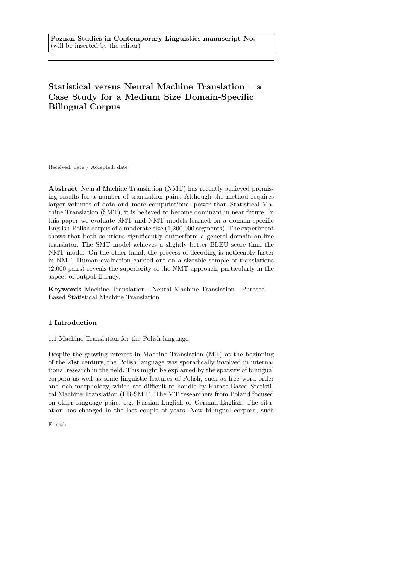# Statistical versus Neural Machine Translation – a Case Study for a Medium Size Domain-Specific Bilingual Corpus

Received: date / Accepted: date

Abstract Neural Machine Translation (NMT) has recently achieved promising results for a number of translation pairs. Although the method requires larger volumes of data and more computational power than Statistical Machine Translation (SMT), it is believed to become dominant in near future. In this paper we evaluate SMT and NMT models learned on a domain-specific English-Polish corpus of a moderate size (1,200,000 segments). The experiment shows that both solutions significantly outperform a general-domain on-line translator. The SMT model achieves a slightly better BLEU score than the NMT model. On the other hand, the process of decoding is noticeably faster in NMT. Human evaluation carried out on a sizeable sample of translations (2,000 pairs) reveals the superiority of the NMT approach, particularly in the aspect of output fluency.

Keywords Machine Translation · Neural Machine Translation · Phrased-Based Statistical Machine Translation

# 1 Introduction

# 1.1 Machine Translation for the Polish language

Despite the growing interest in Machine Translation (MT) at the beginning of the 21st century, the Polish language was sporadically involved in international research in the field. This might be explained by the sparsity of bilingual corpora as well as some linguistic features of Polish, such as free word order and rich morphology, which are difficult to handle by Phrase-Based Statistical Machine Translation (PB-SMT). The MT researchers from Poland focused on other language pairs, e.g. Russian-English or German-English. The situation has changed in the last couple of years. New bilingual corpora, such

E-mail: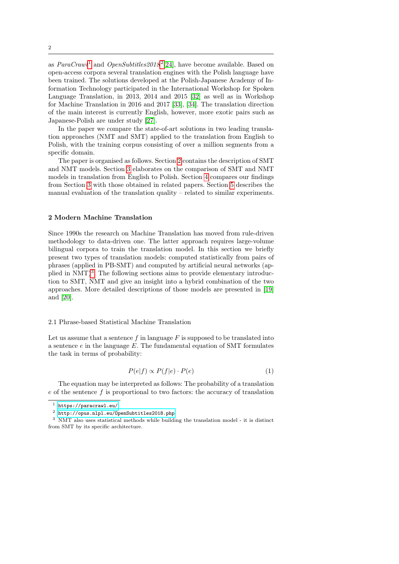as  $ParaCrawl<sup>1</sup>$  $ParaCrawl<sup>1</sup>$  $ParaCrawl<sup>1</sup>$  and  $OpenSubtitles 2018<sup>2</sup>[24]$  $OpenSubtitles 2018<sup>2</sup>[24]$  $OpenSubtitles 2018<sup>2</sup>[24]$  $OpenSubtitles 2018<sup>2</sup>[24]$ , have become available. Based on open-access corpora several translation engines with the Polish language have been trained. The solutions developed at the Polish-Japanese Academy of Information Technology participated in the International Workshop for Spoken Language Translation, in 2013, 2014 and 2015 [\[32\]](#page-22-1) as well as in Workshop for Machine Translation in 2016 and 2017 [\[33\]](#page-22-2), [\[34\]](#page-22-3). The translation direction of the main interest is currently English, however, more exotic pairs such as Japanese-Polish are under study [\[27\]](#page-22-4).

In the paper we compare the state-of-art solutions in two leading translation approaches (NMT and SMT) applied to the translation from English to Polish, with the training corpus consisting of over a million segments from a specific domain.

The paper is organised as follows. Section [2](#page-1-2) contains the description of SMT and NMT models. Section [3](#page-5-0) elaborates on the comparison of SMT and NMT models in translation from English to Polish. Section [4](#page-9-0) compares our findings from Section [3](#page-5-0) with those obtained in related papers. Section [5](#page-10-0) describes the manual evaluation of the translation quality – related to similar experiments.

# <span id="page-1-2"></span>2 Modern Machine Translation

Since 1990s the research on Machine Translation has moved from rule-driven methodology to data-driven one. The latter approach requires large-volume bilingual corpora to train the translation model. In this section we briefly present two types of translation models: computed statistically from pairs of phrases (applied in PB-SMT) and computed by artificial neural networks (ap-plied in NMT)<sup>[3](#page-1-3)</sup>. The following sections aims to provide elementary introduction to SMT, NMT and give an insight into a hybrid combination of the two approaches. More detailed descriptions of those models are presented in [\[19\]](#page-21-0) and [\[20\]](#page-21-1).

# 2.1 Phrase-based Statistical Machine Translation

Let us assume that a sentence f in language  $F$  is supposed to be translated into a sentence  $e$  in the language  $E$ . The fundamental equation of SMT formulates the task in terms of probability:

$$
P(e|f) \propto P(f|e) \cdot P(e) \tag{1}
$$

The equation may be interpreted as follows: The probability of a translation  $e$  of the sentence  $f$  is proportional to two factors: the accuracy of translation

<span id="page-1-0"></span><sup>1</sup> <https://paracrawl.eu/>

<span id="page-1-3"></span><span id="page-1-1"></span> $^2$ http://opus.nlpl.eu/0penSubtitles2018.php

<sup>3</sup> NMT also uses statistical methods while building the translation model - it is distinct from SMT by its specific architecture.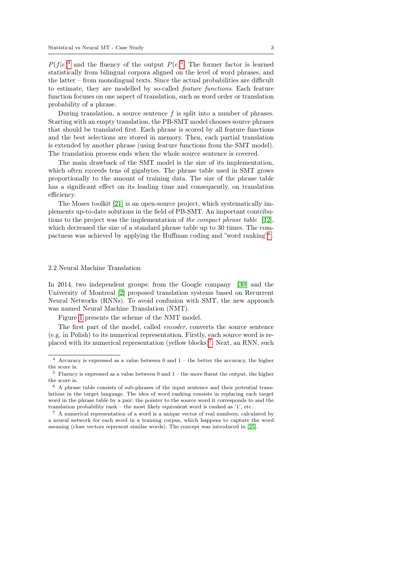$P(f|e)^4$  $P(f|e)^4$  and the fluency of the output  $P(e)^5$  $P(e)^5$ . The former factor is learned statistically from bilingual corpora aligned on the level of word phrases, and the latter – from monolingual texts. Since the actual probabilities are difficult to estimate, they are modelled by so-called feature functions. Each feature function focuses on one aspect of translation, such as word order or translation probability of a phrase.

During translation, a source sentence  $f$  is split into a number of phrases. Starting with an empty translation, the PB-SMT model chooses source phrases that should be translated first. Each phrase is scored by all feature functions and the best selections are stored in memory. Then, each partial translation is extended by another phrase (using feature functions from the SMT model). The translation process ends when the whole source sentence is covered.

The main drawback of the SMT model is the size of its implementation, which often exceeds tens of gigabytes. The phrase table used in SMT grows proportionally to the amount of training data. The size of the phrase table has a significant effect on its loading time and consequently, on translation efficiency.

The Moses toolkit [\[21\]](#page-21-2) is an open-source project, which systematically implements up-to-date solutions in the field of PB-SMT. An important contributions to the project was the implementation of the compact phrase table [\[12\]](#page-21-3), which decreased the size of a standard phrase table up to 30 times. The com-pactness was achieved by applying the Huffman coding and "word ranking"<sup>[6](#page-2-2)</sup>.

### <span id="page-2-4"></span>2.2 Neural Machine Translation

In 2014, two independent groups: from the Google company [\[30\]](#page-22-5) and the University of Montreal [\[2\]](#page-20-0) proposed translation systems based on Recurrent Neural Networks (RNNs). To avoid confusion with SMT, the new approach was named Neural Machine Translation (NMT).

Figure [1](#page-3-0) presents the scheme of the NMT model.

The first part of the model, called *encoder*, converts the source sentence (e.g. in Polish) to its numerical representation. Firstly, each source word is re-placed with its numerical representation (yellow blocks)<sup>[7](#page-2-3)</sup>. Next, an RNN, such

<span id="page-2-0"></span> $^4\,$  Accuracy is expressed as a value between 0 and 1 – the better the accuracy, the higher the score is.

<span id="page-2-1"></span> $5$  Fluency is expressed as a value between 0 and  $1$  – the more fluent the output, the higher the score is.

<span id="page-2-2"></span> $6\,$  A phrase table consists of sub-phrases of the input sentence and their potential translations in the target language. The idea of word ranking consists in replacing each target word in the phrase table by a pair: the pointer to the source word it corresponds to and the translation probability rank – the most likely equivalent word is ranked as '1', etc.

<span id="page-2-3"></span><sup>7</sup> A numerical representation of a word is a unique vector of real numbers, calculated by a neural network for each word in a training corpus, which happens to capture the word meaning (close vectors represent similar words). The concept was introduced in [\[25\]](#page-22-6).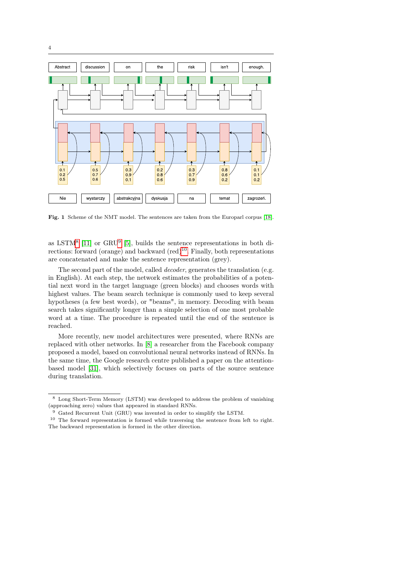

<span id="page-3-0"></span>Fig. 1 Scheme of the NMT model. The sentences are taken from the Europarl corpus [\[18\]](#page-21-4).

as LSTM<sup>[8](#page-3-1)</sup> [\[11\]](#page-21-5) or GRU<sup>[9](#page-3-2)</sup> [\[5\]](#page-21-6), builds the sentence representations in both directions: forward (orange) and backward  $(\text{red})^{10}$  $(\text{red})^{10}$  $(\text{red})^{10}$ . Finally, both representations are concatenated and make the sentence representation (grey).

The second part of the model, called *decoder*, generates the translation (e.g. in English). At each step, the network estimates the probabilities of a potential next word in the target language (green blocks) and chooses words with highest values. The beam search technique is commonly used to keep several hypotheses (a few best words), or "beams", in memory. Decoding with beam search takes significantly longer than a simple selection of one most probable word at a time. The procedure is repeated until the end of the sentence is reached.

More recently, new model architectures were presented, where RNNs are replaced with other networks. In [\[8\]](#page-21-7) a researcher from the Facebook company proposed a model, based on convolutional neural networks instead of RNNs. In the same time, the Google research centre published a paper on the attentionbased model [\[31\]](#page-22-7), which selectively focuses on parts of the source sentence during translation.

<span id="page-3-1"></span><sup>8</sup> Long Short-Term Memory (LSTM) was developed to address the problem of vanishing (approaching zero) values that appeared in standard RNNs.

<span id="page-3-3"></span><span id="page-3-2"></span><sup>&</sup>lt;sup>9</sup> Gated Recurrent Unit (GRU) was invented in order to simplify the LSTM.

<sup>10</sup> The forward representation is formed while traversing the sentence from left to right. The backward representation is formed in the other direction.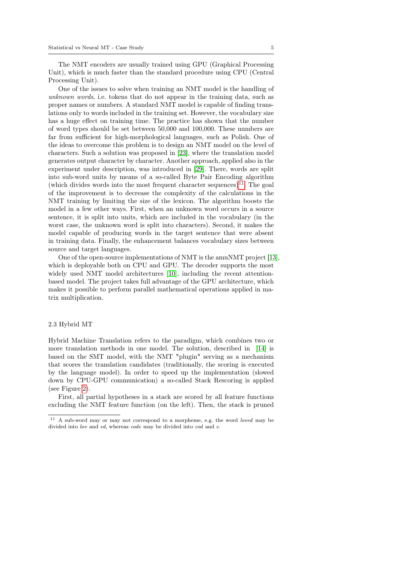The NMT encoders are usually trained using GPU (Graphical Processing Unit), which is much faster than the standard procedure using CPU (Central Processing Unit).

One of the issues to solve when training an NMT model is the handling of unknown words, i.e. tokens that do not appear in the training data, such as proper names or numbers. A standard NMT model is capable of finding translations only to words included in the training set. However, the vocabulary size has a huge effect on training time. The practice has shown that the number of word types should be set between 50,000 and 100,000. These numbers are far from sufficient for high-morphological languages, such as Polish. One of the ideas to overcome this problem is to design an NMT model on the level of characters. Such a solution was proposed in [\[23\]](#page-21-8), where the translation model generates output character by character. Another approach, applied also in the experiment under description, was introduced in [\[29\]](#page-22-8). There, words are split into sub-word units by means of a so-called Byte Pair Encoding algorithm (which divides words into the most frequent character sequences)<sup>[11](#page-4-0)</sup>. The goal of the improvement is to decrease the complexity of the calculations in the NMT training by limiting the size of the lexicon. The algorithm boosts the model in a few other ways. First, when an unknown word occurs in a source sentence, it is split into units, which are included in the vocabulary (in the worst case, the unknown word is split into characters). Second, it makes the model capable of producing words in the target sentence that were absent in training data. Finally, the enhancement balances vocabulary sizes between source and target languages.

One of the open-source implementations of NMT is the amuNMT project [\[13\]](#page-21-9), which is deployable both on CPU and GPU. The decoder supports the most widely used NMT model architectures [\[10\]](#page-21-10), including the recent attentionbased model. The project takes full advantage of the GPU architecture, which makes it possible to perform parallel mathematical operations applied in matrix multiplication.

## 2.3 Hybrid MT

Hybrid Machine Translation refers to the paradigm, which combines two or more translation methods in one model. The solution, described in [\[14\]](#page-21-11) is based on the SMT model, with the NMT "plugin" serving as a mechanism that scores the translation candidates (traditionally, the scoring is executed by the language model). In order to speed up the implementation (slowed down by CPU-GPU communication) a so-called Stack Rescoring is applied (see Figure [2\)](#page-5-1).

First, all partial hypotheses in a stack are scored by all feature functions excluding the NMT feature function (on the left). Then, the stack is pruned

<span id="page-4-0"></span><sup>11</sup> A sub-word may or may not correspond to a morpheme, e.g. the word loved may be divided into lov and ed, whereas code may be divided into cod and e.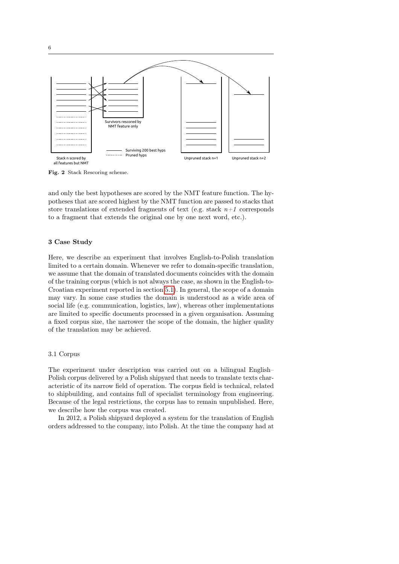

<span id="page-5-1"></span>Fig. 2 Stack Rescoring scheme.

and only the best hypotheses are scored by the NMT feature function. The hypotheses that are scored highest by the NMT function are passed to stacks that store translations of extended fragments of text (e.g. stack  $n+1$  corresponds to a fragment that extends the original one by one next word, etc.).

# <span id="page-5-0"></span>3 Case Study

Here, we describe an experiment that involves English-to-Polish translation limited to a certain domain. Whenever we refer to domain-specific translation, we assume that the domain of translated documents coincides with the domain of the training corpus (which is not always the case, as shown in the English-to-Croatian experiment reported in section [5.1\)](#page-10-1). In general, the scope of a domain may vary. In some case studies the domain is understood as a wide area of social life (e.g. communication, logistics, law), whereas other implementations are limited to specific documents processed in a given organisation. Assuming a fixed corpus size, the narrower the scope of the domain, the higher quality of the translation may be achieved.

# <span id="page-5-2"></span>3.1 Corpus

The experiment under description was carried out on a bilingual English– Polish corpus delivered by a Polish shipyard that needs to translate texts characteristic of its narrow field of operation. The corpus field is technical, related to shipbuilding, and contains full of specialist terminology from engineering. Because of the legal restrictions, the corpus has to remain unpublished. Here, we describe how the corpus was created.

In 2012, a Polish shipyard deployed a system for the translation of English orders addressed to the company, into Polish. At the time the company had at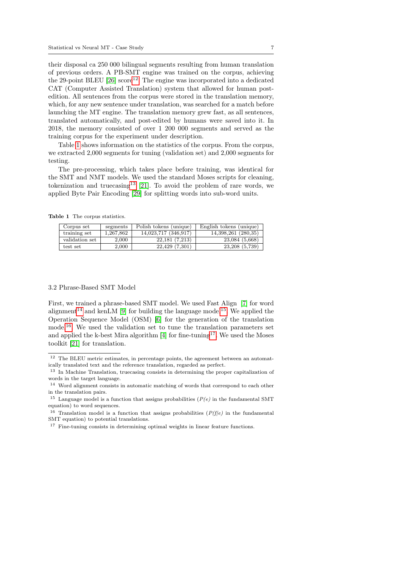their disposal ca 250 000 bilingual segments resulting from human translation of previous orders. A PB-SMT engine was trained on the corpus, achieving the 29-point BLEU  $[26]$  score<sup>[12](#page-6-0)</sup>. The engine was incorporated into a dedicated CAT (Computer Assisted Translation) system that allowed for human postedition. All sentences from the corpus were stored in the translation memory, which, for any new sentence under translation, was searched for a match before launching the MT engine. The translation memory grew fast, as all sentences, translated automatically, and post-edited by humans were saved into it. In 2018, the memory consisted of over 1 200 000 segments and served as the training corpus for the experiment under description.

Table [1](#page-6-1) shows information on the statistics of the corpus. From the corpus, we extracted 2,000 segments for tuning (validation set) and 2,000 segments for testing.

The pre-processing, which takes place before training, was identical for the SMT and NMT models. We used the standard Moses scripts for cleaning, tokenization and truecasing<sup>[13](#page-6-2)</sup> [\[21\]](#page-21-2). To avoid the problem of rare words, we applied Byte Pair Encoding [\[29\]](#page-22-8) for splitting words into sub-word units.

<span id="page-6-1"></span>Table 1 The corpus statistics.

| Corpus set     | segments  | Polish tokens (unique) | English tokens (unique) |
|----------------|-----------|------------------------|-------------------------|
| training set   | 1,267,862 | 14,023,717 (346,917)   | 14,398,261 (280,35)     |
| validation set | 2.000     | 22,181(7,213)          | 23,084 (5,668)          |
| test set       | 2.000     | 22,429 (7,301)         | 23,208 (5,739)          |

#### <span id="page-6-7"></span>3.2 Phrase-Based SMT Model

First, we trained a phrase-based SMT model. We used Fast Align [\[7\]](#page-21-12) for word alignment<sup>[14](#page-6-3)</sup> and kenLM [\[9\]](#page-21-13) for building the language model<sup>[15](#page-6-4)</sup>. We applied the Operation Sequence Model (OSM) [\[6\]](#page-21-14) for the generation of the translation model[16](#page-6-5). We used the validation set to tune the translation parameters set and applied the k-best Mira algorithm  $[4]$  for fine-tuning<sup>[17](#page-6-6)</sup>. We used the Moses toolkit [\[21\]](#page-21-2) for translation.

<span id="page-6-0"></span> $^{12}\,$  The BLEU metric estimates, in percentage points, the agreement between an automatically translated text and the reference translation, regarded as perfect.

<span id="page-6-2"></span><sup>13</sup> In Machine Translation, truecasing consists in determining the proper capitalization of words in the target language.

<span id="page-6-3"></span><sup>14</sup> Word alignment consists in automatic matching of words that correspond to each other in the translation pairs.

<span id="page-6-4"></span><sup>&</sup>lt;sup>15</sup> Language model is a function that assigns probabilities  $(P(e)$  in the fundamental SMT equation) to word sequences.

<span id="page-6-5"></span><sup>&</sup>lt;sup>16</sup> Translation model is a function that assigns probabilities  $(P(f|e)$  in the fundamental SMT equation) to potential translations.

<span id="page-6-6"></span><sup>&</sup>lt;sup>17</sup> Fine-tuning consists in determining optimal weights in linear feature functions.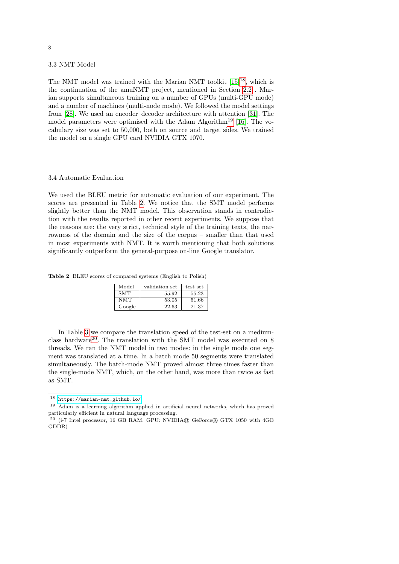# <span id="page-7-4"></span>3.3 NMT Model

The NMT model was trained with the Marian NMT toolkit  $[15]^{18}$  $[15]^{18}$  $[15]^{18}$  $[15]^{18}$ , which is the continuation of the amuNMT project, mentioned in Section [2.2](#page-2-4) . Marian supports simultaneous training on a number of GPUs (multi-GPU mode) and a number of machines (multi-node mode). We followed the model settings from [\[28\]](#page-22-10). We used an encoder–decoder architecture with attention [\[31\]](#page-22-7). The model parameters were optimised with the Adam Algorithm<sup>[19](#page-7-1)</sup> [\[16\]](#page-21-16). The vocabulary size was set to 50,000, both on source and target sides. We trained the model on a single GPU card NVIDIA GTX 1070.

#### 3.4 Automatic Evaluation

We used the BLEU metric for automatic evaluation of our experiment. The scores are presented in Table [2.](#page-7-2) We notice that the SMT model performs slightly better than the NMT model. This observation stands in contradiction with the results reported in other recent experiments. We suppose that the reasons are: the very strict, technical style of the training texts, the narrowness of the domain and the size of the corpus – smaller than that used in most experiments with NMT. It is worth mentioning that both solutions significantly outperform the general-purpose on-line Google translator.

<span id="page-7-2"></span>Table 2 BLEU scores of compared systems (English to Polish)

| Model      | validation set | test set |
|------------|----------------|----------|
| <b>SMT</b> | 55.92          | 55.23    |
| <b>NMT</b> | 53.05          | 51.66    |
| Google     | 22.63          | 21.37    |

In Table [3](#page-8-0) we compare the translation speed of the test-set on a mediumclass hardware[20](#page-7-3). The translation with the SMT model was executed on 8 threads. We ran the NMT model in two modes: in the single mode one segment was translated at a time. In a batch mode 50 segments were translated simultaneously. The batch-mode NMT proved almost three times faster than the single-mode NMT, which, on the other hand, was more than twice as fast as SMT.

<span id="page-7-0"></span><sup>18</sup> <https://marian-nmt.github.io/>

<span id="page-7-1"></span><sup>19</sup> Adam is a learning algorithm applied in artificial neural networks, which has proved particularly efficient in natural language processing.

<span id="page-7-3"></span> $^{20}$  (i-7 Intel processor, 16 GB RAM, GPU: NVIDIA® GeForce® GTX 1050 with 4GB GDDR)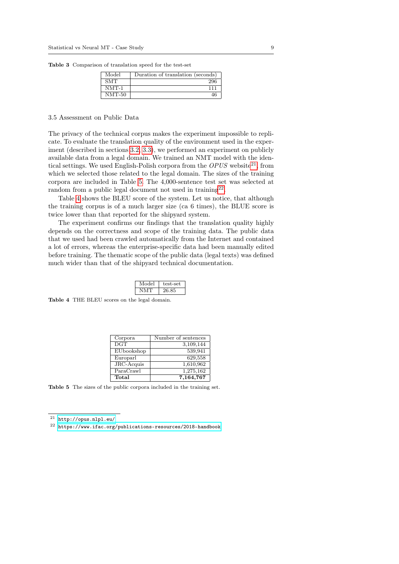<span id="page-8-0"></span>Table 3 Comparison of translation speed for the test-set

| Model      | Duration of translation (seconds) |
|------------|-----------------------------------|
| <b>SMT</b> | 296                               |
| $NMT-1$    | 111                               |
| $NMT-50$   |                                   |

#### 3.5 Assessment on Public Data

The privacy of the technical corpus makes the experiment impossible to replicate. To evaluate the translation quality of the environment used in the experiment (described in sections [3.2,](#page-6-7) [3.3\)](#page-7-4), we performed an experiment on publicly available data from a legal domain. We trained an NMT model with the identical settings. We used English-Polish corpora from the  $OPUS$  website<sup>[21](#page-8-1)</sup>, from which we selected those related to the legal domain. The sizes of the training corpora are included in Table [5.](#page-8-2) The 4,000-sentence test set was selected at random from a public legal document not used in training $^{22}$  $^{22}$  $^{22}$ .

Table [4](#page-8-4) shows the BLEU score of the system. Let us notice, that although the training corpus is of a much larger size (ca 6 times), the BLUE score is twice lower than that reported for the shipyard system.

The experiment confirms our findings that the translation quality highly depends on the correctness and scope of the training data. The public data that we used had been crawled automatically from the Internet and contained a lot of errors, whereas the enterprise-specific data had been manually edited before training. The thematic scope of the public data (legal texts) was defined much wider than that of the shipyard technical documentation.

<span id="page-8-4"></span>

| Model | test-set |
|-------|----------|
|       | 26.85    |

Table 4 THE BLEU scores on the legal domain.

<span id="page-8-2"></span>

| Corpora          | Number of sentences |
|------------------|---------------------|
| $\overline{DGT}$ | 3,109,144           |
| EUbookshop       | 539,941             |
| Europarl         | 629,558             |
| JRC-Acquis       | 1,610,962           |
| ParaCrawl        | 1,275,162           |
| Total            | 7,164,767           |

Table 5 The sizes of the public corpora included in the training set.

<span id="page-8-1"></span><sup>21</sup> <http://opus.nlpl.eu/>

<span id="page-8-3"></span> $^{22}\,$ <https://www.ifac.org/publications-resources/2018-handbook>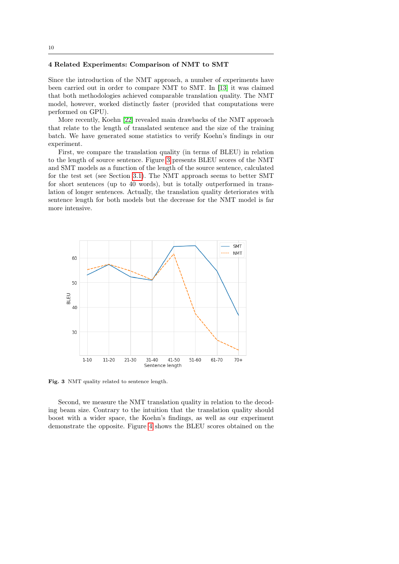# <span id="page-9-0"></span>4 Related Experiments: Comparison of NMT to SMT

Since the introduction of the NMT approach, a number of experiments have been carried out in order to compare NMT to SMT. In [\[13\]](#page-21-9) it was claimed that both methodologies achieved comparable translation quality. The NMT model, however, worked distinctly faster (provided that computations were performed on GPU).

More recently, Koehn [\[22\]](#page-21-17) revealed main drawbacks of the NMT approach that relate to the length of translated sentence and the size of the training batch. We have generated some statistics to verify Koehn's findings in our experiment.

First, we compare the translation quality (in terms of BLEU) in relation to the length of source sentence. Figure [3](#page-9-1) presents BLEU scores of the NMT and SMT models as a function of the length of the source sentence, calculated for the test set (see Section [3.1\)](#page-5-2). The NMT approach seems to better SMT for short sentences (up to 40 words), but is totally outperformed in translation of longer sentences. Actually, the translation quality deteriorates with sentence length for both models but the decrease for the NMT model is far more intensive.



<span id="page-9-1"></span>Fig. 3 NMT quality related to sentence length.

Second, we measure the NMT translation quality in relation to the decoding beam size. Contrary to the intuition that the translation quality should boost with a wider space, the Koehn's findings, as well as our experiment demonstrate the opposite. Figure [4](#page-10-2) shows the BLEU scores obtained on the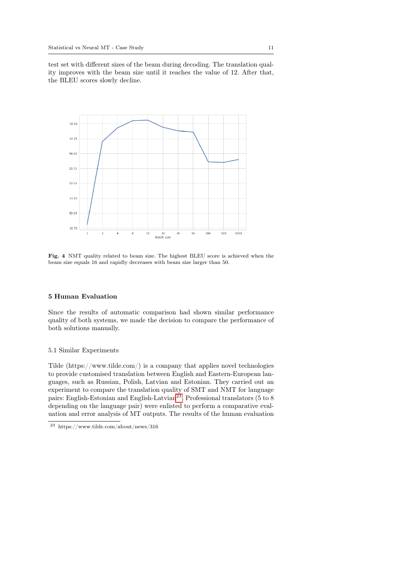test set with different sizes of the beam during decoding. The translation quality improves with the beam size until it reaches the value of 12. After that, the BLEU scores slowly decline.



<span id="page-10-2"></span>Fig. 4 NMT quality related to beam size. The highest BLEU score is achieved when the beam size equals 16 and rapidly decreases with beam size larger than 50.

## <span id="page-10-0"></span>5 Human Evaluation

Since the results of automatic comparison had shown similar performance quality of both systems, we made the decision to compare the performance of both solutions manually.

## <span id="page-10-1"></span>5.1 Similar Experiments

Tilde  $(\text{https://www.tilde.com/})$  is a company that applies novel technologies to provide customised translation between English and Eastern-European languages, such as Russian, Polish, Latvian and Estonian. They carried out an experiment to compare the translation quality of SMT and NMT for language pairs: English-Estonian and English-Latvian<sup>[23](#page-10-3)</sup>. Professional translators (5 to 8 depending on the language pair) were enlisted to perform a comparative evaluation and error analysis of MT outputs. The results of the human evaluation

<span id="page-10-3"></span><sup>23</sup> https://www.tilde.com/about/news/316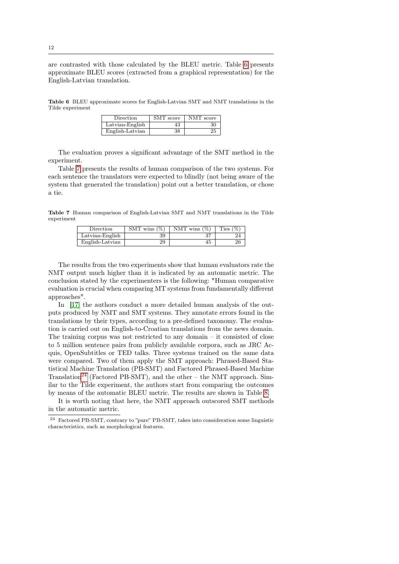are contrasted with those calculated by the BLEU metric. Table [6](#page-11-0) presents approximate BLEU scores (extracted from a graphical representation) for the English-Latvian translation.

<span id="page-11-0"></span>Table 6 BLEU approximate scores for English-Latvian SMT and NMT translations in the Tilde experiment

| Direction       | SMT score | NMT score |
|-----------------|-----------|-----------|
| Latvian-English |           | 30        |
| English-Latvian | 38        | 25        |

The evaluation proves a significant advantage of the SMT method in the experiment.

Table [7](#page-11-1) presents the results of human comparison of the two systems. For each sentence the translators were expected to blindly (not being aware of the system that generated the translation) point out a better translation, or chose a tie.

<span id="page-11-1"></span>Table 7 Human comparison of English-Latvian SMT and NMT translations in the Tilde experiment

| Direction       | SMT wins $(\%)$ | NMT wins $(\%)$ | (%<br>Ties |
|-----------------|-----------------|-----------------|------------|
| Latvian-English | 39              | ີ               |            |
| English-Latvian | 29              | 45              |            |

The results from the two experiments show that human evaluators rate the NMT output much higher than it is indicated by an automatic metric. The conclusion stated by the experimenters is the following: "Human comparative evaluation is crucial when comparing MT systems from fundamentally different approaches".

In [\[17\]](#page-21-18) the authors conduct a more detailed human analysis of the outputs produced by NMT and SMT systems. They annotate errors found in the translations by their types, according to a pre-defined taxonomy. The evaluation is carried out on English-to-Croatian translations from the news domain. The training corpus was not restricted to any domain – it consisted of close to 5 million sentence pairs from publicly available corpora, such as JRC Acquis, OpenSubtitles or TED talks. Three systems trained on the same data were compared. Two of them apply the SMT approach: Phrased-Based Statistical Machine Translation (PB-SMT) and Factored Phrased-Based Machine Translation<sup>[24](#page-11-2)</sup> (Factored PB-SMT), and the other – the NMT approach. Similar to the Tilde experiment, the authors start from comparing the outcomes by means of the automatic BLEU metric. The results are shown in Table [8.](#page-12-0)

It is worth noting that here, the NMT approach outscored SMT methods in the automatic metric.

<span id="page-11-2"></span><sup>24</sup> Factored PB-SMT, contrary to "pure" PB-SMT, takes into consideration some linguistic characteristics, such as morphological features.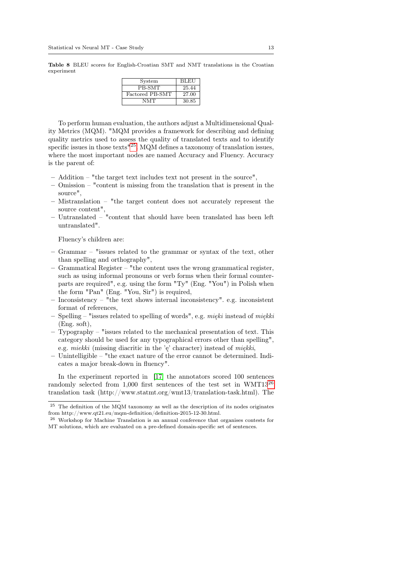<span id="page-12-0"></span>Table 8 BLEU scores for English-Croatian SMT and NMT translations in the Croatian experiment

| System          | <b>BLEU</b> |
|-----------------|-------------|
| PB-SMT          | 25.44       |
| Factored PB-SMT | 27.00       |
| NMT             | 30.85       |

To perform human evaluation, the authors adjust a Multidimensional Quality Metrics (MQM). "MQM provides a framework for describing and defining quality metrics used to assess the quality of translated texts and to identify specific issues in those texts<sup>"[25](#page-12-1)</sup>. MQM defines a taxonomy of translation issues, where the most important nodes are named Accuracy and Fluency. Accuracy is the parent of:

- Addition "the target text includes text not present in the source",
- Omission "content is missing from the translation that is present in the source",
- Mistranslation "the target content does not accurately represent the source content",
- Untranslated "content that should have been translated has been left untranslated".

Fluency's children are:

- Grammar "issues related to the grammar or syntax of the text, other than spelling and orthography",
- Grammatical Register "the content uses the wrong grammatical register, such as using informal pronouns or verb forms when their formal counterparts are required", e.g. using the form "Ty" (Eng. "You") in Polish when the form "Pan" (Eng. "You, Sir") is required,
- Inconsistency "the text shows internal inconsistency". e.g. inconsistent format of references,
- Spelling "issues related to spelling of words", e.g. mięki instead of miękki (Eng. soft),
- Typography "issues related to the mechanical presentation of text. This category should be used for any typographical errors other than spelling", e.g. miekki (missing diacritic in the 'ę' character) instead of miękki,
- Unintelligible "the exact nature of the error cannot be determined. Indicates a major break-down in fluency".

In the experiment reported in [\[17\]](#page-21-18) the annotators scored 100 sentences randomly selected from 1,000 first sentences of the test set in WMT13<sup>[26](#page-12-2)</sup> translation task (http://www.statmt.org/wmt13/translation-task.html). The

<span id="page-12-1"></span> $^{25}\,$  The definition of the MQM taxonomy as well as the description of its nodes originates from http://www.qt21.eu/mqm-definition/definition-2015-12-30.html.

<span id="page-12-2"></span><sup>26</sup> Workshop for Machine Translation is an annual conference that organises contests for MT solutions, which are evaluated on a pre-defined domain-specific set of sentences.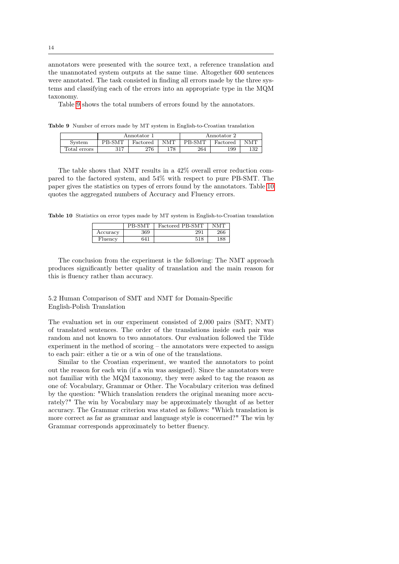annotators were presented with the source text, a reference translation and the unannotated system outputs at the same time. Altogether 600 sentences were annotated. The task consisted in finding all errors made by the three systems and classifying each of the errors into an appropriate type in the MQM taxonomy.

Table [9](#page-13-0) shows the total numbers of errors found by the annotators.

<span id="page-13-0"></span>Table 9 Number of errors made by MT system in English-to-Croatian translation

|              |        | Annotator |     |        | Annotator 2 |            |
|--------------|--------|-----------|-----|--------|-------------|------------|
| System       | PB-SMT | Factored  | NMT | PB-SMT | Factored    | <b>NMT</b> |
| Total errors | 317    | 276       | 178 | 264    | 199         | 132        |

The table shows that NMT results in a 42% overall error reduction compared to the factored system, and 54% with respect to pure PB-SMT. The paper gives the statistics on types of errors found by the annotators. Table [10](#page-13-1) quotes the aggregated numbers of Accuracy and Fluency errors.

<span id="page-13-1"></span>Table 10 Statistics on error types made by MT system in English-to-Croatian translation

|          | <b>B-SMT</b> | Factored PB-SMT |     |
|----------|--------------|-----------------|-----|
| Accuracy | 369          | 291             | 266 |
| Fluency  | 641          | 518             |     |

The conclusion from the experiment is the following: The NMT approach produces significantly better quality of translation and the main reason for this is fluency rather than accuracy.

5.2 Human Comparison of SMT and NMT for Domain-Specific English-Polish Translation

The evaluation set in our experiment consisted of 2,000 pairs (SMT; NMT) of translated sentences. The order of the translations inside each pair was random and not known to two annotators. Our evaluation followed the Tilde experiment in the method of scoring – the annotators were expected to assign to each pair: either a tie or a win of one of the translations.

Similar to the Croatian experiment, we wanted the annotators to point out the reason for each win (if a win was assigned). Since the annotators were not familiar with the MQM taxonomy, they were asked to tag the reason as one of: Vocabulary, Grammar or Other. The Vocabulary criterion was defined by the question: "Which translation renders the original meaning more accurately?" The win by Vocabulary may be approximately thought of as better accuracy. The Grammar criterion was stated as follows: "Which translation is more correct as far as grammar and language style is concerned?" The win by Grammar corresponds approximately to better fluency.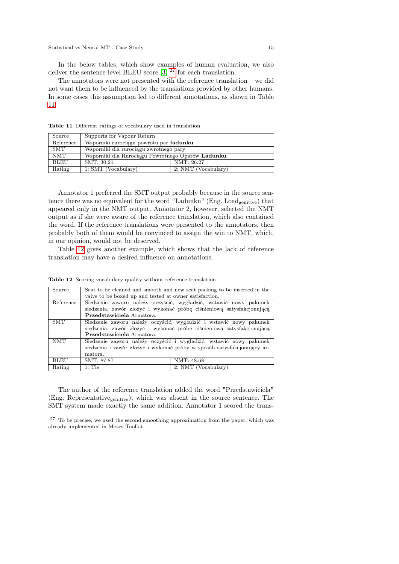In the below tables, which show examples of human evaluation, we also deliver the sentence-level BLEU score [\[3\]](#page-20-2)  $2^7$  for each translation.

The annotators were not presented with the reference translation – we did not want them to be influenced by the translations provided by other humans. In some cases this assumption led to different annotations, as shown in Table [11.](#page-14-1)

| Source     | Supports for Vapour Return                               |                     |
|------------|----------------------------------------------------------|---------------------|
| Reference  | Wsporniki rurociągu powrotu par ładunku                  |                     |
| <b>SMT</b> | Wsporniki dla rurociagu zwrotnego pary                   |                     |
| <b>NMT</b> | Wsporniki dla Rurociagu Powrotnego Oparów <b>Ładunku</b> |                     |
| BLEU       | SMT: 30.21                                               | NMT: 26.27          |
| Rating     | $1: SMT$ (Vocabulary)                                    | 2: NMT (Vocabulary) |

<span id="page-14-1"></span>Table 11 Different ratings of vocabulary used in translation

Annotator 1 preferred the SMT output probably because in the source sentence there was no equivalent for the word "Ładunku" (Eng. Load<sub>genitive</sub>) that appeared only in the NMT output. Annotator 2, however, selected the NMT output as if she were aware of the reference translation, which also contained the word. If the reference translations were presented to the annotators, then probably both of them would be convinced to assign the win to NMT, which, in our opinion, would not be deserved.

Table [12](#page-14-2) gives another example, which shows that the lack of reference translation may have a desired influence on annotations.

| Source      |                                                        | Seat to be cleaned and smooth and new seat packing to be inserted in the |
|-------------|--------------------------------------------------------|--------------------------------------------------------------------------|
|             | valve to be boxed up and tested at owner satisfaction. |                                                                          |
| Reference   |                                                        | Siedzenie zaworu należy oczyścić, wygładzić, wstawić nowy pakunek        |
|             |                                                        | siedzenia, zawór złożyć i wykonać próbę ciśnieniową satysfakcjonującą    |
|             | Przedstawiciela Armatora.                              |                                                                          |
| <b>SMT</b>  |                                                        | Siedzenie zaworu należy oczyścić, wygładzić i wstawić nowy pakunek       |
|             |                                                        | siedzenia, zawór złożyć i wykonać próbę ciśnieniową satysfakcjonującą    |
|             | Przedstawiciela Armatora.                              |                                                                          |
| <b>NMT</b>  |                                                        | Siedzenie zaworu należy oczyścić i wygładzić, wstawić nowy pakunek       |
|             |                                                        | siedzenia i zawór złożyć i wykonać próby w sposób satysfakcjonujący ar-  |
|             | matora.                                                |                                                                          |
| <b>BLEU</b> | SMT: 87.87                                             | NMT: 48.68                                                               |
| Rating      | $1:$ Tie                                               | 2: NMT (Vocabulary)                                                      |

<span id="page-14-2"></span>Table 12 Scoring vocabulary quality without reference translation

The author of the reference translation added the word "Przedstawiciela" (Eng. Representative<sub>genitive</sub>), which was absent in the source sentence. The SMT system made exactly the same addition. Annotator 1 scored the trans-

<span id="page-14-0"></span><sup>&</sup>lt;sup>27</sup> To be precise, we used the second smoothing approximation from the paper, which was already implemented in Moses Toolkit.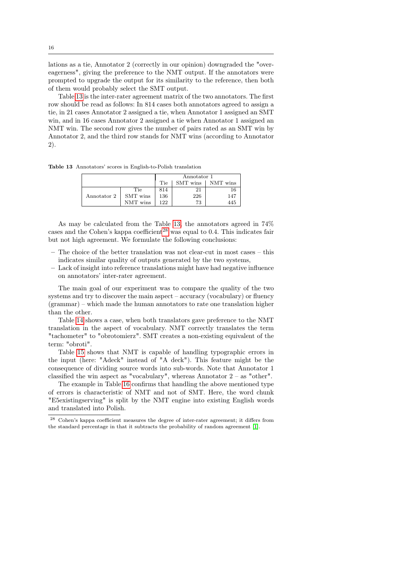lations as a tie, Annotator 2 (correctly in our opinion) downgraded the "overeagerness", giving the preference to the NMT output. If the annotators were prompted to upgrade the output for its similarity to the reference, then both of them would probably select the SMT output.

Table [13](#page-15-0) is the inter-rater agreement matrix of the two annotators. The first row should be read as follows: In 814 cases both annotators agreed to assign a tie, in 21 cases Annotator 2 assigned a tie, when Annotator 1 assigned an SMT win, and in 16 cases Annotator 2 assigned a tie when Annotator 1 assigned an NMT win. The second row gives the number of pairs rated as an SMT win by Annotator 2, and the third row stands for NMT wins (according to Annotator 2).

<span id="page-15-0"></span>Table 13 Annotators' scores in English-to-Polish translation

|             |          | Annotator 1 |          |          |
|-------------|----------|-------------|----------|----------|
|             |          | Tie         | SMT wins | NMT wins |
|             | Tie      | 814         | 21       | 16       |
| Annotator 2 | SMT wins | 136         | 226      | 147      |
|             | NMT wins | 122         | 73       | 445      |

As may be calculated from the Table [13,](#page-15-0) the annotators agreed in 74% cases and the Cohen's kappa coefficient<sup>[28](#page-15-1)</sup> was equal to  $0.4$ . This indicates fair but not high agreement. We formulate the following conclusions:

- The choice of the better translation was not clear-cut in most cases this indicates similar quality of outputs generated by the two systems,
- Lack of insight into reference translations might have had negative influence on annotators' inter-rater agreement.

The main goal of our experiment was to compare the quality of the two systems and try to discover the main aspect – accuracy (vocabulary) or fluency (grammar) – which made the human annotators to rate one translation higher than the other.

Table [14](#page-16-0) shows a case, when both translators gave preference to the NMT translation in the aspect of vocabulary. NMT correctly translates the term "tachometer" to "obrotomierz". SMT creates a non-existing equivalent of the term: "obroti".

Table [15](#page-16-1) shows that NMT is capable of handling typographic errors in the input (here: "Adeck" instead of "A deck"). This feature might be the consequence of dividing source words into sub-words. Note that Annotator 1 classified the win aspect as "vocabulary", whereas Annotator 2 – as "other".

The example in Table [16](#page-16-2) confirms that handling the above mentioned type of errors is characteristic of NMT and not of SMT. Here, the word chunk "E5existingserving" is split by the NMT engine into existing English words and translated into Polish.

<span id="page-15-1"></span><sup>28</sup> Cohen's kappa coefficient measures the degree of inter-rater agreement; it differs from the standard percentage in that it subtracts the probability of random agreement [\[1\]](#page-20-3).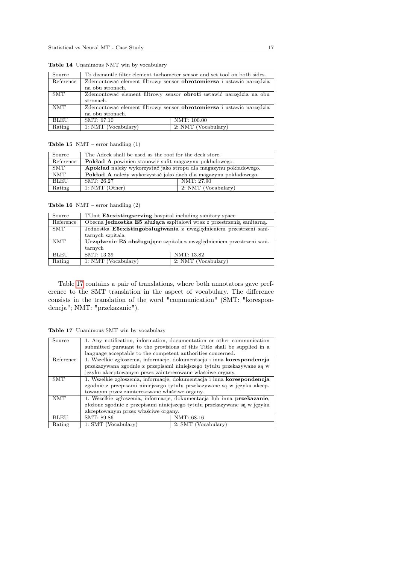| Source      |                     | To dismantle filter element tachometer sensor and set tool on both sides.  |
|-------------|---------------------|----------------------------------------------------------------------------|
| Reference   |                     | Zdemontować element filtrowy sensor obrotomierza i ustawić narzędzia       |
|             | na obu stronach.    |                                                                            |
| <b>SMT</b>  |                     | Zdemontować element filtrowy sensor <b>obroti</b> ustawić narzędzia na obu |
|             | stronach.           |                                                                            |
| <b>NMT</b>  |                     | Zdemontować element filtrowy sensor obrotomierza i ustawić narzędzia       |
|             | na obu stronach.    |                                                                            |
| <b>BLEU</b> | SMT: 67.10          | NMT: 100.00                                                                |
| Rating      | 1: NMT (Vocabulary) | 2: NMT (Vocabulary)                                                        |

<span id="page-16-0"></span>Table 14 Unanimous NMT win by vocabulary

<span id="page-16-1"></span>Table 15 NMT – error handling (1)

| Source     | The Adeck shall be used as the roof for the deck store.          |  |  |
|------------|------------------------------------------------------------------|--|--|
| Reference  | Pokład A powinien stanowić sufit magazynu pokładowego.           |  |  |
| <b>SMT</b> | Apokład należy wykorzystać jako stropu dla magazynu pokładowego. |  |  |
| NMT        | Pokład A należy wykorzystać jako dach dla magazynu pokładowego.  |  |  |
| BLEU       | NMT: 27.90<br>SMT: 26.27                                         |  |  |
| Rating     | $1: NMT$ (Other)<br>2: NMT (Vocabulary)                          |  |  |

<span id="page-16-2"></span>Table 16 NMT – error handling (2)

| Source      | TUnit <b>E5existingserving</b> hospital including sanitary space      |                     |  |
|-------------|-----------------------------------------------------------------------|---------------------|--|
| Reference   | Obecna jednostka E5 służąca szpitalowi wraz z przestrzenią sanitarną. |                     |  |
| <b>SMT</b>  | Jednostka E5existingobsługiwania z uwzglednieniem przestrzeni sani-   |                     |  |
|             | tarnych szpitala                                                      |                     |  |
| <b>NMT</b>  | Urządzenie E5 obsługujące szpitala z uwzględnieniem przestrzeni sani- |                     |  |
|             | tarnych                                                               |                     |  |
| <b>BLEU</b> | SMT: 13.39                                                            | NMT: 13.82          |  |
| Rating      | 1: NMT (Vocabulary)                                                   | 2: NMT (Vocabulary) |  |

Table [17](#page-16-3) contains a pair of translations, where both annotators gave preference to the SMT translation in the aspect of vocabulary. The difference consists in the translation of the word "communication" (SMT: "korespondencja"; NMT: "przekazanie").

<span id="page-16-3"></span>Table 17 Unanimous SMT win by vocabulary

| Source      | 1. Any notification, information, documentation or other communication    |                                                                        |  |
|-------------|---------------------------------------------------------------------------|------------------------------------------------------------------------|--|
|             | submitted pursuant to the provisions of this Title shall be supplied in a |                                                                        |  |
|             | language acceptable to the competent authorities concerned.               |                                                                        |  |
| Reference   |                                                                           | 1. Wszelkie zgłoszenia, informacje, dokumentacja i inna korespondencja |  |
|             |                                                                           | przekazywana zgodnie z przepisami niniejszego tytułu przekazywane są w |  |
|             | języku akceptowanym przez zainteresowane właściwe organy.                 |                                                                        |  |
| <b>SMT</b>  | 1. Wszelkie zgłoszenia, informacje, dokumentacja i inna korespondencja    |                                                                        |  |
|             | zgodnie z przepisami niniejszego tytułu przekazywane są w języku akcep-   |                                                                        |  |
|             | towanym przez zainteresowane właściwe organy.                             |                                                                        |  |
| <b>NMT</b>  | 1. Wszelkie zgłoszenia, informacje, dokumentacja lub inna przekazanie,    |                                                                        |  |
|             | złożone zgodnie z przepisami niniejszego tytułu przekazywane są w języku  |                                                                        |  |
|             | akceptowanym przez właściwe organy.                                       |                                                                        |  |
| <b>BLEU</b> | SMT: 89.86                                                                | NMT: 68.16                                                             |  |
| Rating      | 1: SMT (Vocabulary)                                                       | 2: SMT (Vocabulary)                                                    |  |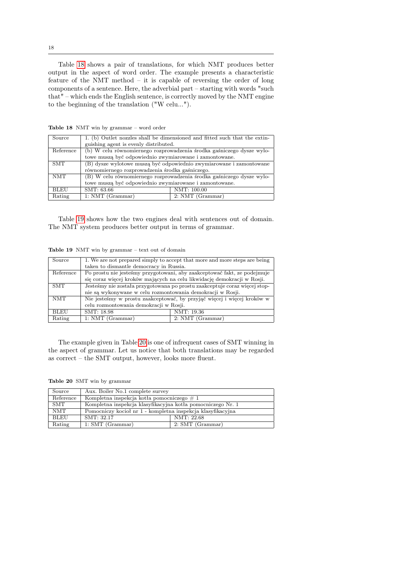Table [18](#page-17-0) shows a pair of translations, for which NMT produces better output in the aspect of word order. The example presents a characteristic feature of the NMT method – it is capable of reversing the order of long components of a sentence. Here, the adverbial part – starting with words "such that" – which ends the English sentence, is correctly moved by the NMT engine to the beginning of the translation ("W celu...").

| Source      | 1. (b) Outlet nozzles shall be dimensioned and fitted such that the extin- |                  |  |
|-------------|----------------------------------------------------------------------------|------------------|--|
|             | guishing agent is evenly distributed.                                      |                  |  |
| Reference   | (b) W celu równomiernego rozprowadzenia środka gaśniczego dysze wylo-      |                  |  |
|             | towe muszą być odpowiednio zwymiarowane i zamontowane.                     |                  |  |
| <b>SMT</b>  | (B) dysze wylotowe muszą być odpowiednio zwymiarowane i zamontowane        |                  |  |
|             | równomiernego rozprowadzenia środka gaśniczego.                            |                  |  |
| <b>NMT</b>  | (B) W celu równomiernego rozprowadzenia środka gaśniczego dysze wylo-      |                  |  |
|             | towe muszą być odpowiednio zwymiarowane i zamontowane.                     |                  |  |
| <b>BLEU</b> | SMT: 63.66                                                                 | NMT: 100.00      |  |
| Rating      | $1: NMT$ (Grammar)                                                         | 2: NMT (Grammar) |  |

<span id="page-17-0"></span>Table 18 NMT win by grammar – word order

Table [19](#page-17-1) shows how the two engines deal with sentences out of domain. The NMT system produces better output in terms of grammar.

<span id="page-17-1"></span>Table 19 NMT win by grammar – text out of domain

| Source      | taken to dismantle democracy in Russia.                                                                                                             | 1. We are not prepared simply to accept that more and more steps are being |  |
|-------------|-----------------------------------------------------------------------------------------------------------------------------------------------------|----------------------------------------------------------------------------|--|
| Reference   | Po prostu nie jesteśmy przygotowani, aby zaakceptować fakt, ze podejmuje<br>się coraz więcej kroków mających na celu likwidację demokracji w Rosji. |                                                                            |  |
| SMT         | Jesteśmy nie została przygotowana po prostu zaakceptuje coraz więcej stop-<br>nie są wykonywane w celu rozmontowania demokracji w Rosji.            |                                                                            |  |
| <b>NMT</b>  | Nie jesteśmy w prostu zaakceptować, by przyjąć więcej i więcej kroków w<br>celu rozmontowania demokracji w Rosji.                                   |                                                                            |  |
| <b>BLEU</b> | SMT: 18.98                                                                                                                                          | NMT: 19.36                                                                 |  |
| Rating      | $1: NMT$ (Grammar)                                                                                                                                  | 2: NMT (Grammar)                                                           |  |

The example given in Table [20](#page-17-2) is one of infrequent cases of SMT winning in the aspect of grammar. Let us notice that both translations may be regarded as correct – the SMT output, however, looks more fluent.

<span id="page-17-2"></span>Table 20 SMT win by grammar

| Source     | Aux. Boiler No.1 complete survey                            |                  |
|------------|-------------------------------------------------------------|------------------|
| Reference  | Kompletna inspekcja kotła pomocniczego $\#$ 1               |                  |
| <b>SMT</b> | Kompletna inspekcja klasyfikacyjna kotła pomocniczego Nr. 1 |                  |
| <b>NMT</b> | Pomocniczy kocioł nr 1 - kompletna inspekcja klasyfikacyjna |                  |
| BLEU       | SMT: 32.17                                                  | NMT: 22.68       |
| Rating     | $1: SMT$ (Grammar)                                          | 2: SMT (Grammar) |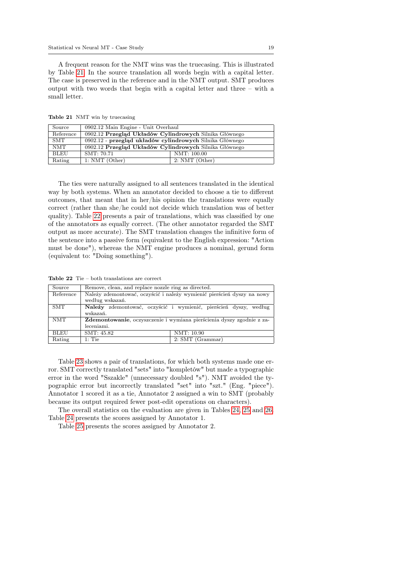A frequent reason for the NMT wins was the truecasing. This is illustrated by Table [21.](#page-18-0) In the source translation all words begin with a capital letter. The case is preserved in the reference and in the NMT output. SMT produces output with two words that begin with a capital letter and three – with a small letter.

<span id="page-18-0"></span>Table 21 NMT win by truecasing

| Source      | 0902.12 Main Engine - Unit Overhaul                      |                  |
|-------------|----------------------------------------------------------|------------------|
| Reference   | 0902.12 Przegląd Układów Cylindrowych Silnika Głównego   |                  |
| <b>SMT</b>  | 0902.12 - przegląd układów cylindrowych Silnika Głównego |                  |
| <b>NMT</b>  | 0902.12 Przegląd Układów Cylindrowych Silnika Głównego   |                  |
| <b>BLEU</b> | SMT: 70.71                                               | NMT: 100.00      |
| Rating      | $1: NMT$ (Other)                                         | $2: NMT$ (Other) |

The ties were naturally assigned to all sentences translated in the identical way by both systems. When an annotator decided to choose a tie to different outcomes, that meant that in her/his opinion the translations were equally correct (rather than she/he could not decide which translation was of better quality). Table [22](#page-18-1) presents a pair of translations, which was classified by one of the annotators as equally correct. (The other annotator regarded the SMT output as more accurate). The SMT translation changes the infinitive form of the sentence into a passive form (equivalent to the English expression: "Action must be done"), whereas the NMT engine produces a nominal, gerund form (equivalent to: "Doing something").

<span id="page-18-1"></span>Table 22 Tie – both translations are correct

| Source      | Remove, clean, and replace nozzle ring as directed.                   |                                                                        |  |
|-------------|-----------------------------------------------------------------------|------------------------------------------------------------------------|--|
| Reference   |                                                                       | Należy zdemontować, oczyścić i należy wymienić pierścień dyszy na nowy |  |
|             | według wskazań.                                                       |                                                                        |  |
| <b>SMT</b>  |                                                                       | Należy zdemontować, oczyścić i wymienić, pierścień dyszy, według       |  |
|             | wskazań.                                                              |                                                                        |  |
| <b>NMT</b>  | Zdemontowanie, oczyszczenie i wymiana pierścienia dyszy zgodnie z za- |                                                                        |  |
|             | leceniami.                                                            |                                                                        |  |
| <b>BLEU</b> | SMT: 45.82                                                            | NMT: 10.90                                                             |  |
| Rating      | $1:$ Tie                                                              | 2: SMT (Grammar)                                                       |  |

Table [23](#page-19-0) shows a pair of translations, for which both systems made one error. SMT correctly translated "sets" into "kompletów" but made a typographic error in the word "Sszakle" (unnecessary doubled "s"). NMT avoided the typographic error but incorrectly translated "set" into "szt." (Eng. "piece"). Annotator 1 scored it as a tie, Annotator 2 assigned a win to SMT (probably because its output required fewer post-edit operations on characters).

The overall statistics on the evaluation are given in Tables [24,](#page-19-1) [25](#page-19-2) and [26.](#page-19-3) Table [24](#page-19-1) presents the scores assigned by Annotator 1.

Table [25](#page-19-2) presents the scores assigned by Annotator 2.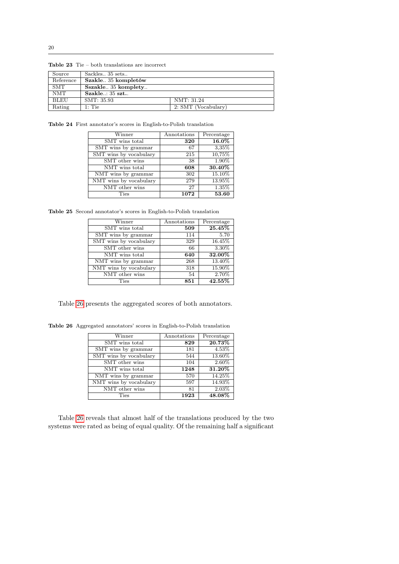| Source    | Sackles 35 sets     |                     |
|-----------|---------------------|---------------------|
| Reference | Szakle35 kompletów  |                     |
| SMT       | Sszakle 35 komplety |                     |
| NMT       | Szakle: 35 szt      |                     |
| BLEU      | SMT: 35.93          | NMT: 31.24          |
| Rating    | $1:$ Tie            | 2: SMT (Vocabulary) |

<span id="page-19-0"></span>Table 23 Tie – both translations are incorrect

<span id="page-19-1"></span>Table 24 First annotator's scores in English-to-Polish translation

| Winner                 | Annotations | Percentage |
|------------------------|-------------|------------|
| SMT wins total         | 320         | 16.0%      |
| SMT wins by grammar    | 67          | 3,35%      |
| SMT wins by vocabulary | 215         | 10,75%     |
| SMT other wins         | 38          | 1.90%      |
| NMT wins total         | 608         | 30.40%     |
| NMT wins by grammar    | 302         | 15.10%     |
| NMT wins by vocabulary | 279         | 13.95%     |
| NMT other wins         | 27          | 1.35%      |
| Ties                   | 1072        | 53.60      |

<span id="page-19-2"></span>Table 25 Second annotator's scores in English-to-Polish translation

| Winner                 | Annotations | Percentage |
|------------------------|-------------|------------|
| SMT wins total         | 509         | 25.45%     |
| SMT wins by grammar    | 114         | 5.70       |
| SMT wins by vocabulary | 329         | 16.45%     |
| SMT other wins         | 66          | 3.30%      |
| NMT wins total         | 640         | 32.00%     |
| NMT wins by grammar    | 268         | 13.40%     |
| NMT wins by vocabulary | 318         | 15.90%     |
| NMT other wins         | 54          | 2.70%      |
| Ties                   | 851         | 42.55%     |

Table [26](#page-19-3) presents the aggregated scores of both annotators.

<span id="page-19-3"></span>Table 26 Aggregated annotators' scores in English-to-Polish translation

| Winner                 | Annotations | Percentage |
|------------------------|-------------|------------|
| SMT wins total         | 829         | 20.73%     |
| SMT wins by grammar    | 181         | 4.53%      |
| SMT wins by vocabulary | 544         | 13.60%     |
| SMT other wins         | 104         | 2.60%      |
| NMT wins total         | 1248        | 31.20%     |
| NMT wins by grammar    | 570         | 14.25%     |
| NMT wins by vocabulary | 597         | 14.93%     |
| NMT other wins         | 81          | 2.03%      |
| Ties                   | 1923        | 48.08%     |

Table [26](#page-19-3) reveals that almost half of the translations produced by the two systems were rated as being of equal quality. Of the remaining half a significant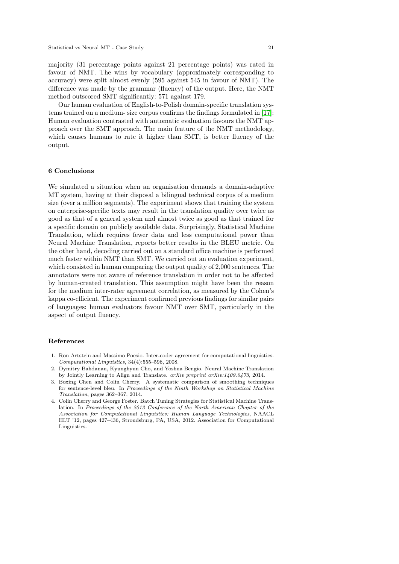majority (31 percentage points against 21 percentage points) was rated in favour of NMT. The wins by vocabulary (approximately corresponding to accuracy) were split almost evenly (595 against 545 in favour of NMT). The difference was made by the grammar (fluency) of the output. Here, the NMT method outscored SMT significantly: 571 against 179.

Our human evaluation of English-to-Polish domain-specific translation systems trained on a medium- size corpus confirms the findings formulated in [\[17\]](#page-21-18): Human evaluation contrasted with automatic evaluation favours the NMT approach over the SMT approach. The main feature of the NMT methodology, which causes humans to rate it higher than SMT, is better fluency of the output.

# 6 Conclusions

We simulated a situation when an organisation demands a domain-adaptive MT system, having at their disposal a bilingual technical corpus of a medium size (over a million segments). The experiment shows that training the system on enterprise-specific texts may result in the translation quality over twice as good as that of a general system and almost twice as good as that trained for a specific domain on publicly available data. Surprisingly, Statistical Machine Translation, which requires fewer data and less computational power than Neural Machine Translation, reports better results in the BLEU metric. On the other hand, decoding carried out on a standard office machine is performed much faster within NMT than SMT. We carried out an evaluation experiment, which consisted in human comparing the output quality of 2,000 sentences. The annotators were not aware of reference translation in order not to be affected by human-created translation. This assumption might have been the reason for the medium inter-rater agreement correlation, as measured by the Cohen's kappa co-efficient. The experiment confirmed previous findings for similar pairs of languages: human evaluators favour NMT over SMT, particularly in the aspect of output fluency.

#### References

- <span id="page-20-3"></span>1. Ron Artstein and Massimo Poesio. Inter-coder agreement for computational linguistics. Computational Linguistics, 34(4):555–596, 2008.
- <span id="page-20-0"></span>2. Dymitry Bahdanau, Kyunghyun Cho, and Yoshua Bengio. Neural Machine Translation by Jointly Learning to Align and Translate. arXiv preprint arXiv:1409.0473, 2014.
- <span id="page-20-2"></span>3. Boxing Chen and Colin Cherry. A systematic comparison of smoothing techniques for sentence-level bleu. In Proceedings of the Ninth Workshop on Statistical Machine Translation, pages 362–367, 2014.
- <span id="page-20-1"></span>4. Colin Cherry and George Foster. Batch Tuning Strategies for Statistical Machine Translation. In Proceedings of the 2012 Conference of the North American Chapter of the Association for Computational Linguistics: Human Language Technologies, NAACL HLT '12, pages 427–436, Stroudsburg, PA, USA, 2012. Association for Computational Linguistics.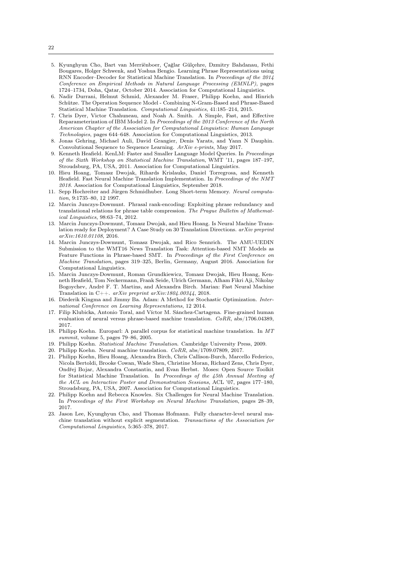- <span id="page-21-6"></span>5. Kyunghyun Cho, Bart van Merriënboer, Çağlar Gülçehre, Dzmitry Bahdanau, Fethi Bougares, Holger Schwenk, and Yoshua Bengio. Learning Phrase Representations using RNN Encoder–Decoder for Statistical Machine Translation. In Proceedings of the 2014 Conference on Empirical Methods in Natural Language Processing (EMNLP), pages 1724–1734, Doha, Qatar, October 2014. Association for Computational Linguistics.
- <span id="page-21-14"></span>6. Nadir Durrani, Helmut Schmid, Alexander M. Fraser, Philipp Koehn, and Hinrich Schütze. The Operation Sequence Model - Combining N-Gram-Based and Phrase-Based Statistical Machine Translation. Computational Linguistics, 41:185–214, 2015.
- <span id="page-21-12"></span>7. Chris Dyer, Victor Chahuneau, and Noah A. Smith. A Simple, Fast, and Effective Reparameterization of IBM Model 2. In Proceedings of the 2013 Conference of the North American Chapter of the Association for Computational Linguistics: Human Language Technologies, pages 644–648. Association for Computational Linguistics, 2013.
- <span id="page-21-7"></span>8. Jonas Gehring, Michael Auli, David Grangier, Denis Yarats, and Yann N Dauphin. Convolutional Sequence to Sequence Learning. ArXiv e-prints, May 2017.
- <span id="page-21-13"></span>9. Kenneth Heafield. KenLM: Faster and Smaller Language Model Queries. In Proceedings of the Sixth Workshop on Statistical Machine Translation, WMT '11, pages 187–197, Stroudsburg, PA, USA, 2011. Association for Computational Linguistics.
- <span id="page-21-10"></span>10. Hieu Hoang, Tomasz Dwojak, Rihards Krislauks, Daniel Torregrosa, and Kenneth Heafield. Fast Neural Machine Translation Implementation. In Proceedings of the NMT 2018. Association for Computational Linguistics, September 2018.
- <span id="page-21-5"></span>11. Sepp Hochreiter and Jürgen Schmidhuber. Long Short-term Memory. Neural computation, 9:1735–80, 12 1997.
- <span id="page-21-3"></span>12. Marcin Junczys-Dowmunt. Phrasal rank-encoding: Exploiting phrase redundancy and translational relations for phrase table compression. The Prague Bulletin of Mathematical Linguistics, 98:63–74, 2012.
- <span id="page-21-9"></span>13. Marcin Junczys-Dowmunt, Tomasz Dwojak, and Hieu Hoang. Is Neural Machine Translation ready for Deployment? A Case Study on 30 Translation Directions. arXiv preprint arXiv:1610.01108, 2016.
- <span id="page-21-11"></span>14. Marcin Junczys-Dowmunt, Tomasz Dwojak, and Rico Sennrich. The AMU-UEDIN Submission to the WMT16 News Translation Task: Attention-based NMT Models as Feature Functions in Phrase-based SMT. In Proceedings of the First Conference on Machine Translation, pages 319–325, Berlin, Germany, August 2016. Association for Computational Linguistics.
- <span id="page-21-15"></span>15. Marcin Junczys-Dowmunt, Roman Grundkiewicz, Tomasz Dwojak, Hieu Hoang, Kenneth Heafield, Tom Neckermann, Frank Seide, Ulrich Germann, Alham Fikri Aji, Nikolay Bogoychev, André F. T. Martins, and Alexandra Birch. Marian: Fast Neural Machine Translation in C++.  $arXiv$  preprint  $arXiv:1804.00344$ , 2018.
- <span id="page-21-16"></span>16. Diederik Kingma and Jimmy Ba. Adam: A Method for Stochastic Optimization. International Conference on Learning Representations, 12 2014.
- <span id="page-21-18"></span>17. Filip Klubicka, Antonio Toral, and Víctor M. Sánchez-Cartagena. Fine-grained human evaluation of neural versus phrase-based machine translation. CoRR, abs/1706.04389, 2017.
- <span id="page-21-4"></span>18. Philipp Koehn. Europarl: A parallel corpus for statistical machine translation. In MT summit, volume 5, pages 79–86, 2005.
- <span id="page-21-0"></span>19. Philipp Koehn. Statistical Machine Translation. Cambridge University Press, 2009.
- <span id="page-21-1"></span>20. Philipp Koehn. Neural machine translation. CoRR, abs/1709.07809, 2017.
- <span id="page-21-2"></span>21. Philipp Koehn, Hieu Hoang, Alexandra Birch, Chris Callison-Burch, Marcello Federico, Nicola Bertoldi, Brooke Cowan, Wade Shen, Christine Moran, Richard Zens, Chris Dyer, Ondřej Bojar, Alexandra Constantin, and Evan Herbst. Moses: Open Source Toolkit for Statistical Machine Translation. In Proceedings of the 45th Annual Meeting of the ACL on Interactive Poster and Demonstration Sessions, ACL '07, pages 177–180, Stroudsburg, PA, USA, 2007. Association for Computational Linguistics.
- <span id="page-21-17"></span>22. Philipp Koehn and Rebecca Knowles. Six Challenges for Neural Machine Translation. In Proceedings of the First Workshop on Neural Machine Translation, pages 28–39, 2017.
- <span id="page-21-8"></span>23. Jason Lee, Kyunghyun Cho, and Thomas Hofmann. Fully character-level neural machine translation without explicit segmentation. Transactions of the Association for Computational Linguistics, 5:365–378, 2017.